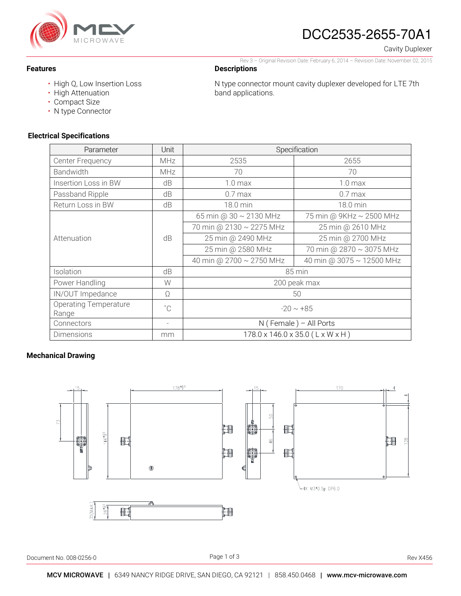

## DCC2535-2655-70A1

Cavity Duplexer

#### Rev 3 – Original Revision Date: February 6, 2014 – Revision Date: November 02, 2015

N type connector mount cavity duplexer developed for LTE 7th

### **Descriptions**

band applications.

• High Q, Low Insertion Loss

- High Attenuation
- Compact Size

**Features** 

• N type Connector

### **Electrical Specifications**

| Parameter                             | Unit                     | Specification                    |                           |
|---------------------------------------|--------------------------|----------------------------------|---------------------------|
| <b>Center Frequency</b>               | <b>MHz</b>               | 2535                             | 2655                      |
| Bandwidth                             | <b>MHz</b>               | 70                               | 70                        |
| Insertion Loss in BW                  | dB                       | 1.0 <sub>max</sub>               | 1.0 <sub>max</sub>        |
| Passband Ripple                       | dB                       | $0.7$ max                        | $0.7$ max                 |
| Return Loss in BW                     | dB                       | 18.0 min                         | 18.0 min                  |
| Attenuation                           | dB                       | 65 min @ 30 ~ 2130 MHz           | 75 min @ 9KHz ~ 2500 MHz  |
|                                       |                          | 70 min @ 2130 ~ 2275 MHz         | 25 min @ 2610 MHz         |
|                                       |                          | 25 min @ 2490 MHz                | 25 min @ 2700 MHz         |
|                                       |                          | 25 min @ 2580 MHz                | 70 min @ 2870 ~ 3075 MHz  |
|                                       |                          | 40 min @ 2700 ~ 2750 MHz         | 40 min @ 3075 ~ 12500 MHz |
| Isolation                             | dB                       | 85 min                           |                           |
| Power Handling                        | W                        | 200 peak max                     |                           |
| IN/OUT Impedance                      | Ω                        | 50                               |                           |
| <b>Operating Temperature</b><br>Range | $^{\circ}$ C             | $-20 \sim +85$                   |                           |
| Connectors                            | $\overline{\phantom{0}}$ | N (Female) - All Ports           |                           |
| Dimensions                            | mm                       | 178.0 x 146.0 x 35.0 (L x W x H) |                           |

### **Mechanical Drawing**



Document No. 008-0256-0 Rev X456

Page 1 of 3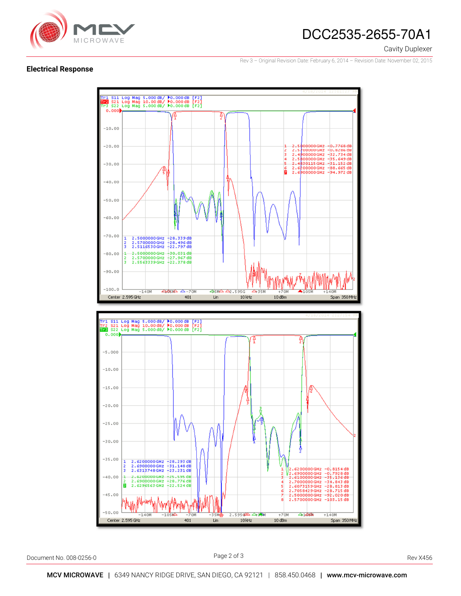

# DCC2535-2655-70A1

Cavity Duplexer

Rev 3 – Original Revision Date: February 6, 2014 – Revision Date: November 02, 2015

#### **Electrical Response**



Document No. 008-0256-0 Rev X456

Page 2 of 3